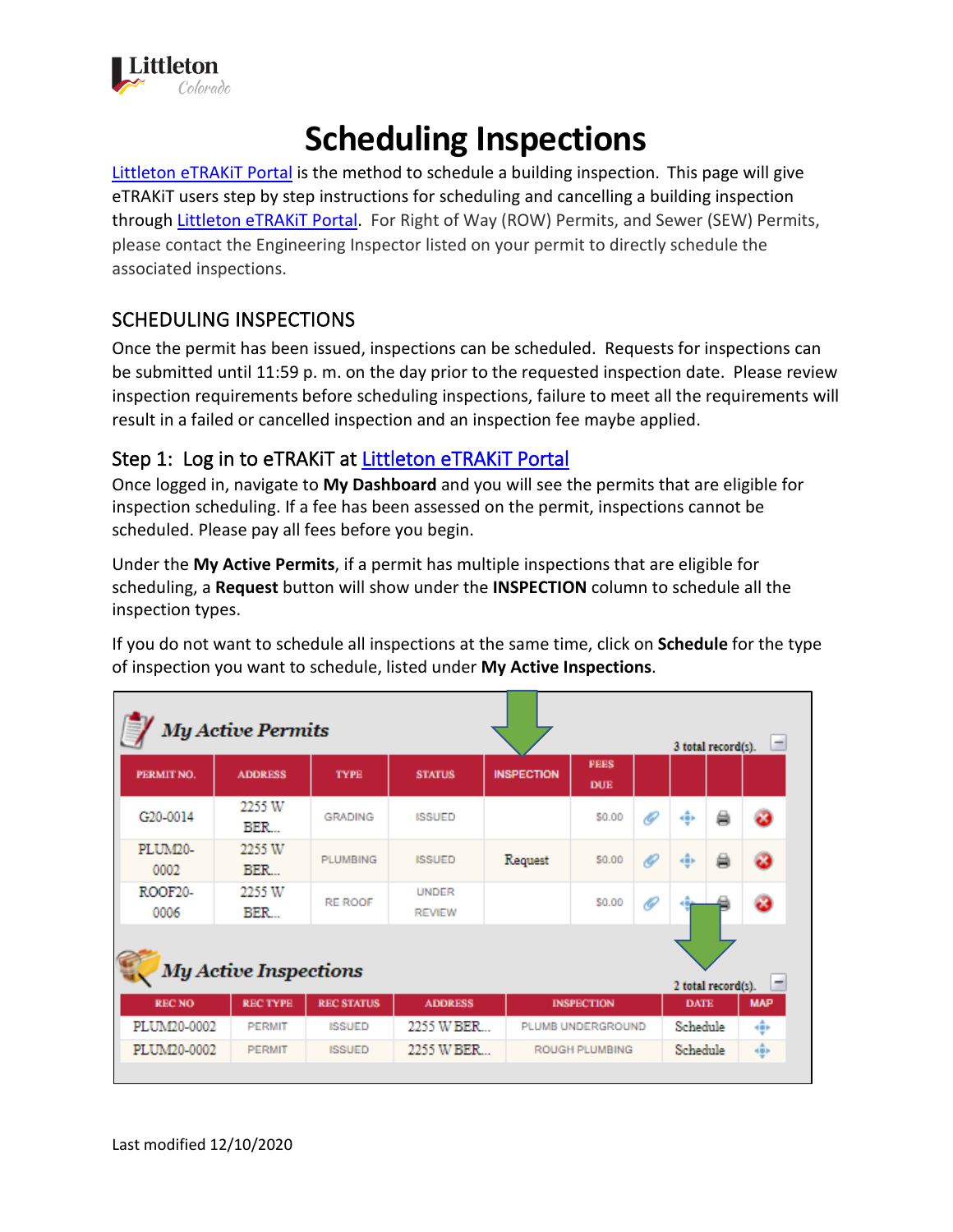

# **Scheduling Inspections**

[Littleton eTRAKiT Portal](https://permit9.littletongov.org/eTRAKiT) is the method to schedule a building inspection. This page will give eTRAKiT users step by step instructions for scheduling and cancelling a building inspection through [Littleton eTRAKiT Portal.](https://permit9.littletongov.org/eTRAKiT) For Right of Way (ROW) Permits, and Sewer (SEW) Permits, please contact the Engineering Inspector listed on your permit to directly schedule the associated inspections.

# SCHEDULING INSPECTIONS

Once the permit has been issued, inspections can be scheduled. Requests for inspections can be submitted until 11:59 p. m. on the day prior to the requested inspection date. Please review inspection requirements before scheduling inspections, failure to meet all the requirements will result in a failed or cancelled inspection and an inspection fee maybe applied.

#### Step 1: Log in to eTRAKIT at Littleton eTRAKIT Portal

Once logged in, navigate to **My Dashboard** and you will see the permits that are eligible for inspection scheduling. If a fee has been assessed on the permit, inspections cannot be scheduled. Please pay all fees before you begin.

Under the **My Active Permits**, if a permit has multiple inspections that are eligible for scheduling, a **Request** button will show under the **INSPECTION** column to schedule all the inspection types.

If you do not want to schedule all inspections at the same time, click on **Schedule** for the type of inspection you want to schedule, listed under **My Active Inspections**.

| <b>My Active Permits</b><br>-<br>3 total record(s).     |                |                   |                                     |                   |                           |          |                |       |            |
|---------------------------------------------------------|----------------|-------------------|-------------------------------------|-------------------|---------------------------|----------|----------------|-------|------------|
| PERMIT NO.                                              | <b>ADDRESS</b> | <b>TYPE</b>       | <b>STATUS</b>                       | <b>INSPECTION</b> | <b>FEES</b><br><b>DUE</b> |          |                |       |            |
| G <sub>20</sub> -0014                                   | 2255 W<br>BER  | <b>GRADING</b>    | <b>ISSUED</b>                       |                   | \$0.00                    | O        | kĝis.          | 曲     | ಾ          |
| PLUM20-<br>0002                                         | 2255 W<br>BER  | <b>PLUMBING</b>   | <b>ISSUED</b>                       | Request           | \$0.00                    | O        | $\frac{1}{2}P$ | ₿     | ෂ          |
| ROOF20-<br>0006                                         | 2255 W<br>BER  | <b>RE ROOF</b>    | <b>UNDER</b><br><b>REVIEW</b>       |                   | \$0.00                    | €        |                |       | ø          |
| <b>My Active Inspections</b><br>-<br>2 total record(s). |                |                   |                                     |                   |                           |          |                |       |            |
| <b>RECNO</b>                                            | <b>RECTYPE</b> | <b>REC STATUS</b> | <b>ADDRESS</b>                      |                   | <b>INSPECTION</b>         |          | <b>DATE</b>    |       | <b>MAP</b> |
| PLUM20-0002                                             | <b>PERMIT</b>  | <b>ISSUED</b>     | 2255 W BER<br>PLUMB UNDERGROUND     |                   |                           | Schedule |                | kĝis. |            |
| PLUM20-0002                                             | <b>PERMIT</b>  | <b>ISSUED</b>     | 2255 W BER<br><b>ROUGH PLUMBING</b> |                   |                           | Schedule |                | 鄉     |            |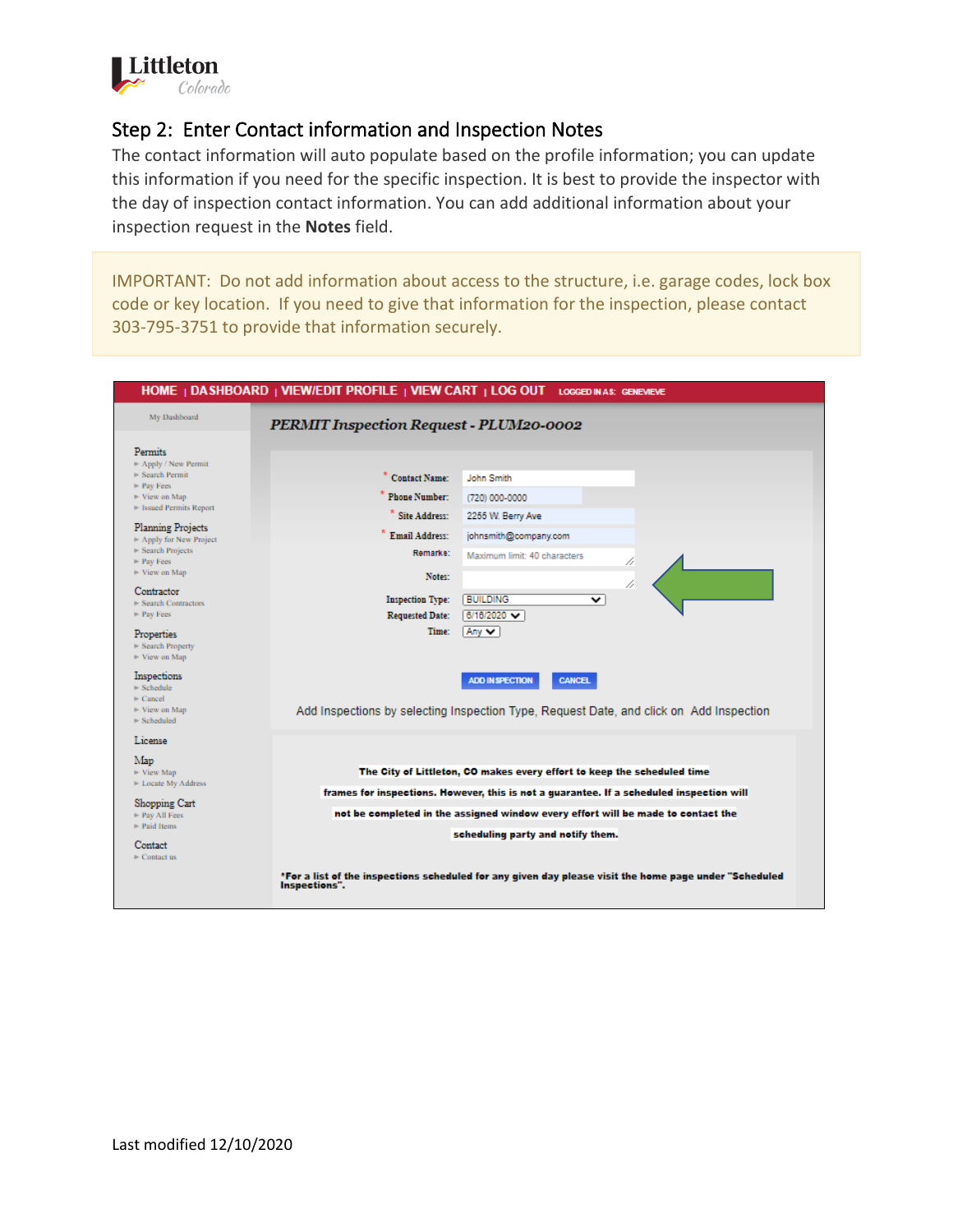

## Step 2: Enter Contact information and Inspection Notes

The contact information will auto populate based on the profile information; you can update this information if you need for the specific inspection. It is best to provide the inspector with the day of inspection contact information. You can add additional information about your inspection request in the **Notes** field.

IMPORTANT: Do not add information about access to the structure, i.e. garage codes, lock box code or key location. If you need to give that information for the inspection, please contact 303-795-3751 to provide that information securely.

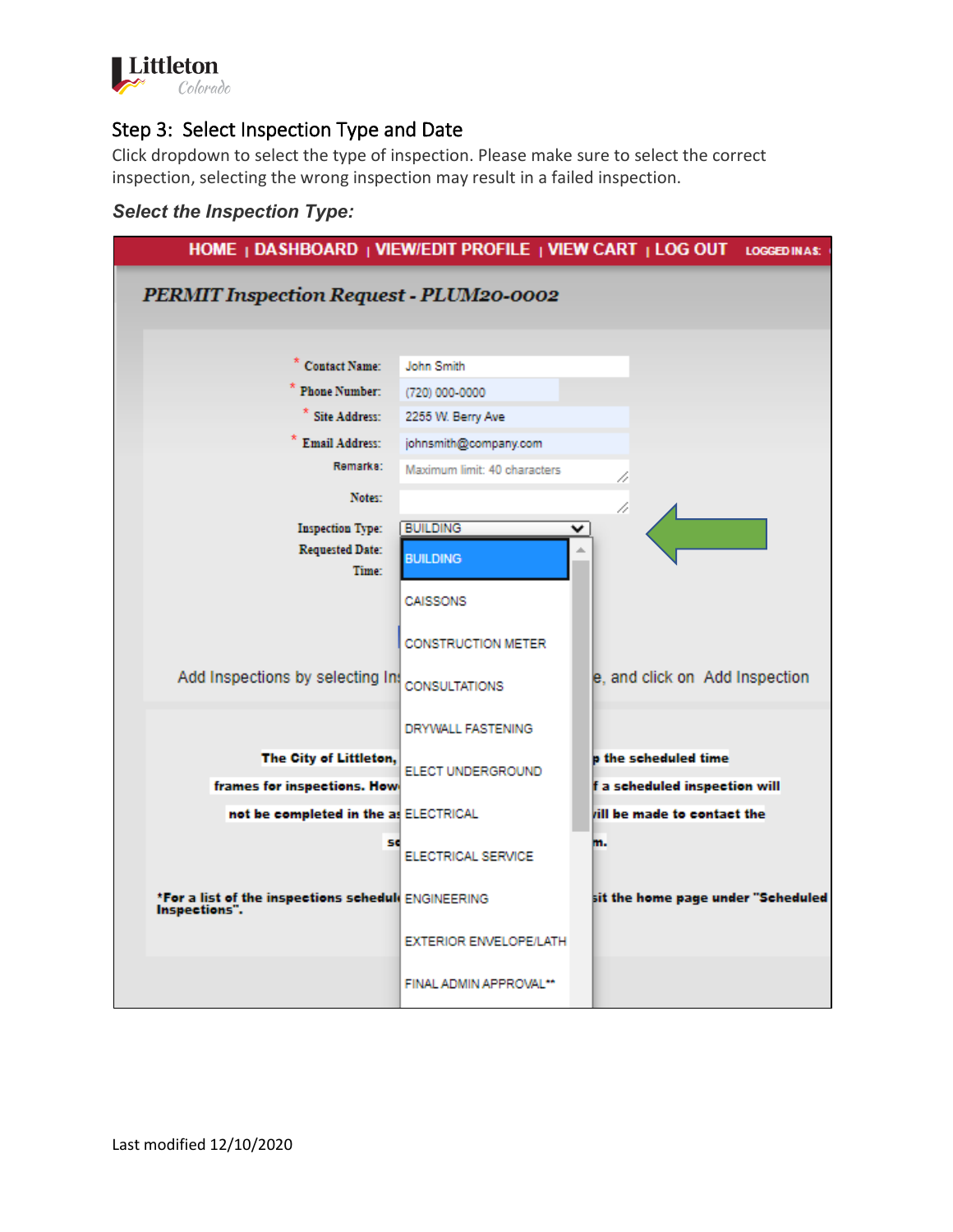

## Step 3: Select Inspection Type and Date

Click dropdown to select the type of inspection. Please make sure to select the correct inspection, selecting the wrong inspection may result in a failed inspection.

#### *Select the Inspection Type:*

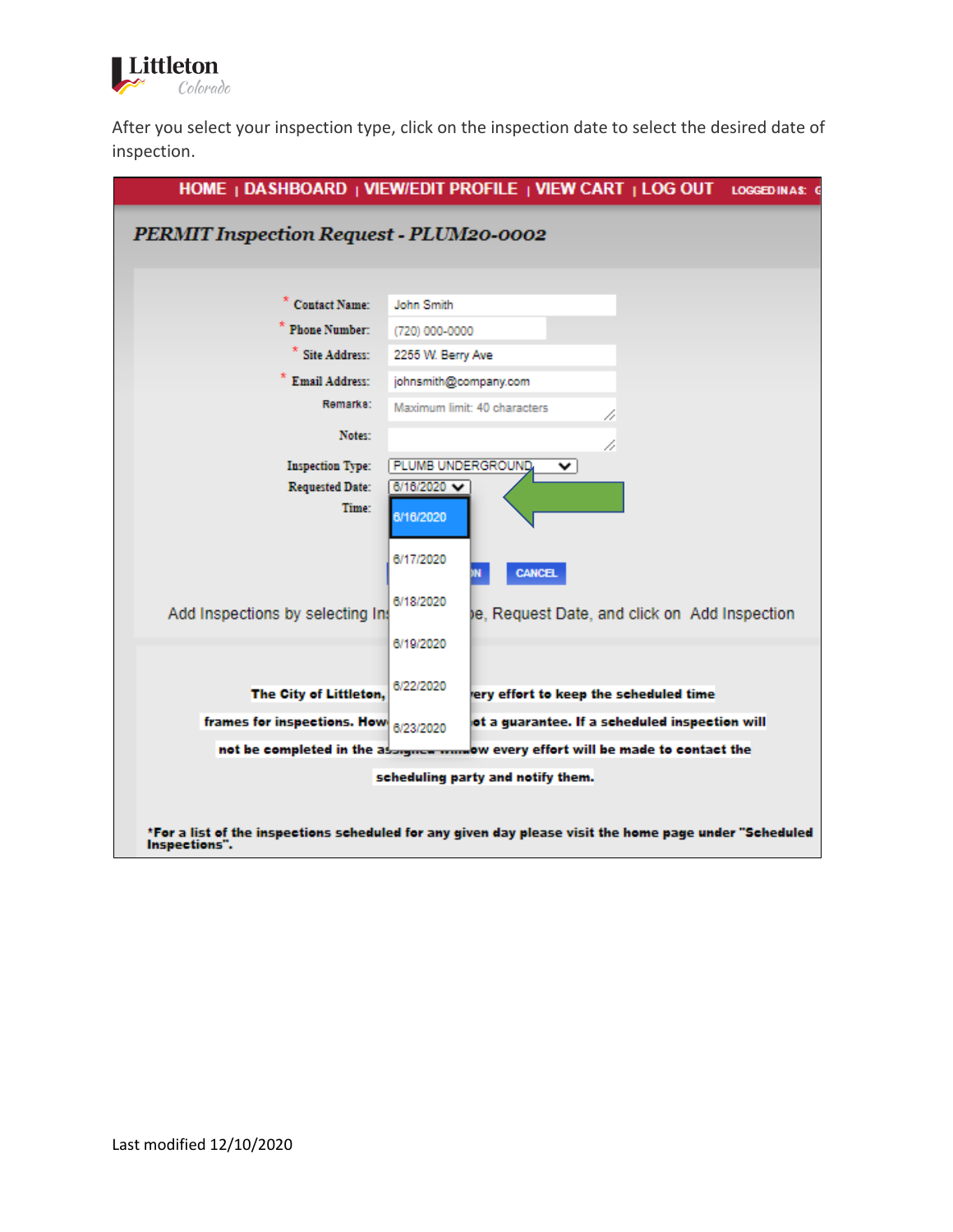

After you select your inspection type, click on the inspection date to select the desired date of inspection.

|                                                                                                                                                                     | HOME   DASHBOARD   VIEW/EDIT PROFILE   VIEW CART   LOG OUT<br>LOGGED IN A \$: 0                                                                                       |  |  |  |  |  |  |
|---------------------------------------------------------------------------------------------------------------------------------------------------------------------|-----------------------------------------------------------------------------------------------------------------------------------------------------------------------|--|--|--|--|--|--|
| <b>PERMIT Inspection Request - PLUM20-0002</b>                                                                                                                      |                                                                                                                                                                       |  |  |  |  |  |  |
| <b>Contact Name:</b><br><b>Phone Number:</b><br>* Site Address:<br><b>Email Address:</b><br>Remarks:<br>Notes:<br><b>Inspection Type:</b><br><b>Requested Date:</b> | John Smith<br>(720) 000-0000<br>2255 W. Berry Ave<br>johnsmith@company.com<br>Maximum limit: 40 characters<br>Þ<br>11<br><b>PLUMB UNDERGROUND</b><br>⌄<br>6/16/2020 ₩ |  |  |  |  |  |  |
| Time:<br>Add Inspections by selecting In:                                                                                                                           | 6/16/2020<br>6/17/2020<br><b>CANCEL</b><br>6/18/2020<br>le, Request Date, and click on Add Inspection                                                                 |  |  |  |  |  |  |
| The City of Littleton,<br>frames for inspections. How                                                                                                               | 6/19/2020<br>6/22/2020<br>ery effort to keep the scheduled time<br>ot a guarantee. If a scheduled inspection will<br>6/23/2020                                        |  |  |  |  |  |  |
|                                                                                                                                                                     | not be completed in the assigned mandow every effort will be made to contact the                                                                                      |  |  |  |  |  |  |
|                                                                                                                                                                     | scheduling party and notify them.                                                                                                                                     |  |  |  |  |  |  |
| *For a list of the inspections scheduled for any given day please visit the home page under "Scheduled<br>Inspections".                                             |                                                                                                                                                                       |  |  |  |  |  |  |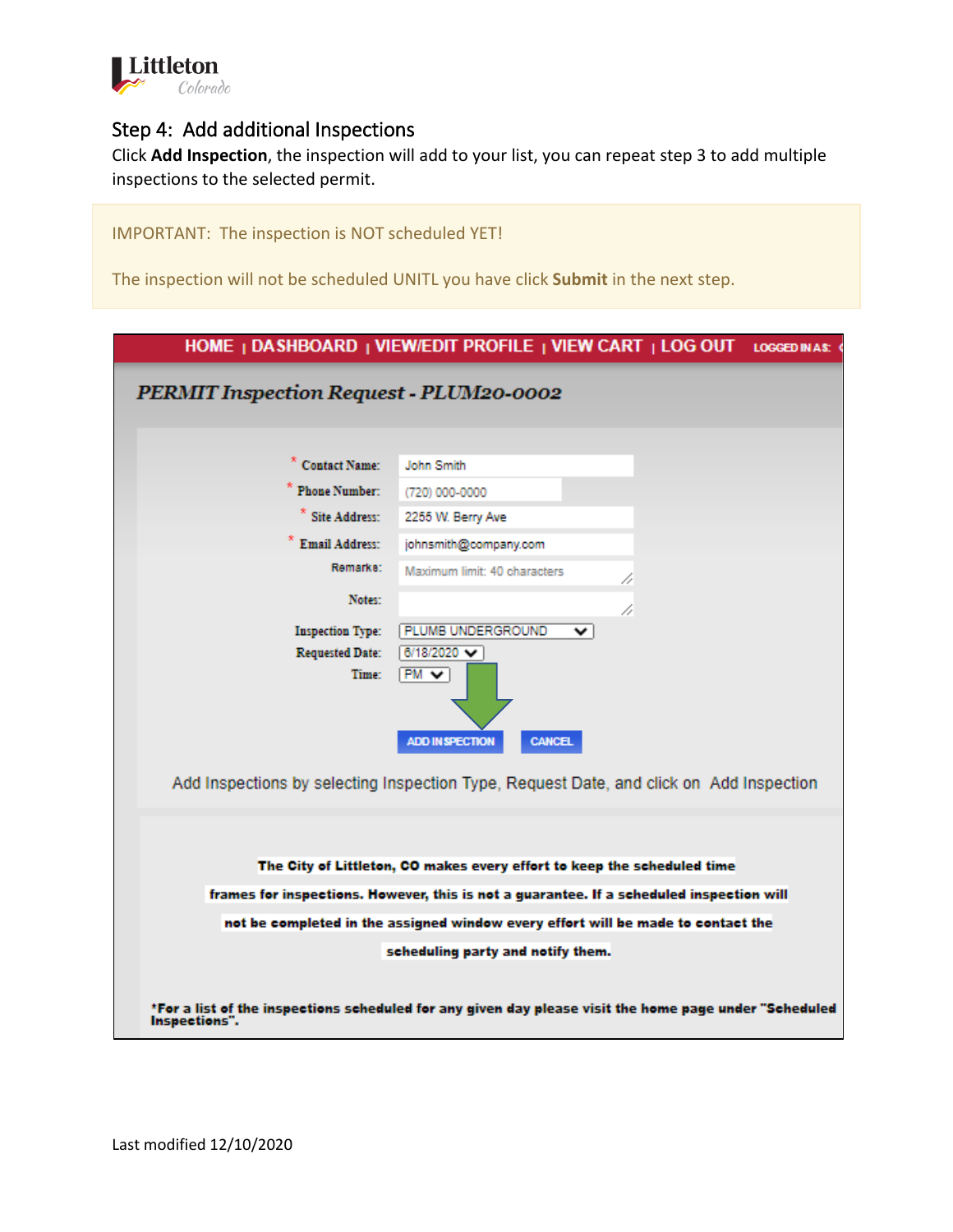

#### Step 4: Add additional Inspections

Click **Add Inspection**, the inspection will add to your list, you can repeat step 3 to add multiple inspections to the selected permit.

IMPORTANT: The inspection is NOT scheduled YET!

The inspection will not be scheduled UNITL you have click **Submit** in the next step.

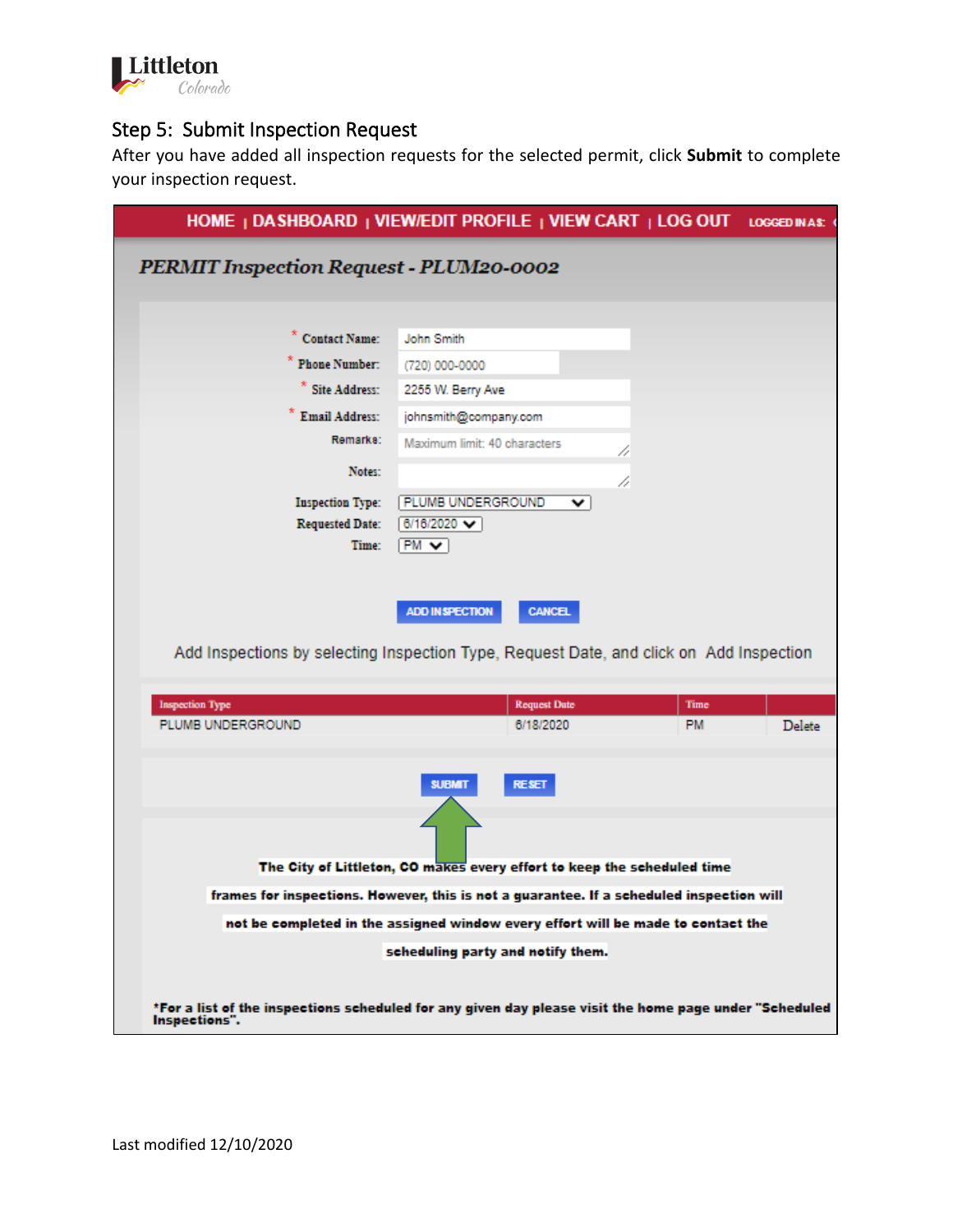

# Step 5: Submit Inspection Request

After you have added all inspection requests for the selected permit, click **Submit** to complete your inspection request.

|                                                   | HOME   DASHBOARD   VIEW/EDIT PROFILE   VIEW CART   LOG OUT LOGGED IN AS. (                                                                                                   |      |        |  |  |  |  |  |  |  |
|---------------------------------------------------|------------------------------------------------------------------------------------------------------------------------------------------------------------------------------|------|--------|--|--|--|--|--|--|--|
| PERMIT Inspection Request - PLUM20-0002           |                                                                                                                                                                              |      |        |  |  |  |  |  |  |  |
|                                                   |                                                                                                                                                                              |      |        |  |  |  |  |  |  |  |
| " Contact Name:                                   | John Smith                                                                                                                                                                   |      |        |  |  |  |  |  |  |  |
| <b>Phone Number:</b>                              | (720) 000-0000                                                                                                                                                               |      |        |  |  |  |  |  |  |  |
| * Site Address:                                   | 2255 W. Berry Ave                                                                                                                                                            |      |        |  |  |  |  |  |  |  |
| * Email Address:                                  | johnsmith@company.com                                                                                                                                                        |      |        |  |  |  |  |  |  |  |
| Remarks:                                          | Maximum limit: 40 characters                                                                                                                                                 |      |        |  |  |  |  |  |  |  |
| Notes:                                            | 11                                                                                                                                                                           |      |        |  |  |  |  |  |  |  |
|                                                   | //                                                                                                                                                                           |      |        |  |  |  |  |  |  |  |
| <b>Inspection Type:</b><br><b>Requested Date:</b> | PLUMB UNDERGROUND<br>v<br>6/16/2020 V                                                                                                                                        |      |        |  |  |  |  |  |  |  |
| Time:                                             | $PM - 1$                                                                                                                                                                     |      |        |  |  |  |  |  |  |  |
|                                                   |                                                                                                                                                                              |      |        |  |  |  |  |  |  |  |
|                                                   |                                                                                                                                                                              |      |        |  |  |  |  |  |  |  |
|                                                   | <b>CANCEL</b><br><b>ADD IN SPECTION</b>                                                                                                                                      |      |        |  |  |  |  |  |  |  |
|                                                   | Add Inspections by selecting Inspection Type, Request Date, and click on Add Inspection                                                                                      |      |        |  |  |  |  |  |  |  |
|                                                   |                                                                                                                                                                              |      |        |  |  |  |  |  |  |  |
| <b>Inspection Type</b>                            | <b>Request Date</b>                                                                                                                                                          | Time |        |  |  |  |  |  |  |  |
| PLUMB UNDERGROUND                                 | 6/18/2020                                                                                                                                                                    | PM.  | Delete |  |  |  |  |  |  |  |
|                                                   |                                                                                                                                                                              |      |        |  |  |  |  |  |  |  |
|                                                   | <b>RESET</b><br><b>SUBMIT</b>                                                                                                                                                |      |        |  |  |  |  |  |  |  |
|                                                   |                                                                                                                                                                              |      |        |  |  |  |  |  |  |  |
|                                                   |                                                                                                                                                                              |      |        |  |  |  |  |  |  |  |
|                                                   | The City of Littleton, CO makes every effort to keep the scheduled time                                                                                                      |      |        |  |  |  |  |  |  |  |
|                                                   |                                                                                                                                                                              |      |        |  |  |  |  |  |  |  |
|                                                   | frames for inspections. However, this is not a guarantee. If a scheduled inspection will<br>not be completed in the assigned window every effort will be made to contact the |      |        |  |  |  |  |  |  |  |
|                                                   | scheduling party and notify them.                                                                                                                                            |      |        |  |  |  |  |  |  |  |
|                                                   |                                                                                                                                                                              |      |        |  |  |  |  |  |  |  |
|                                                   |                                                                                                                                                                              |      |        |  |  |  |  |  |  |  |
| Inspections".                                     | *For a list of the inspections scheduled for any given day please visit the home page under "Scheduled                                                                       |      |        |  |  |  |  |  |  |  |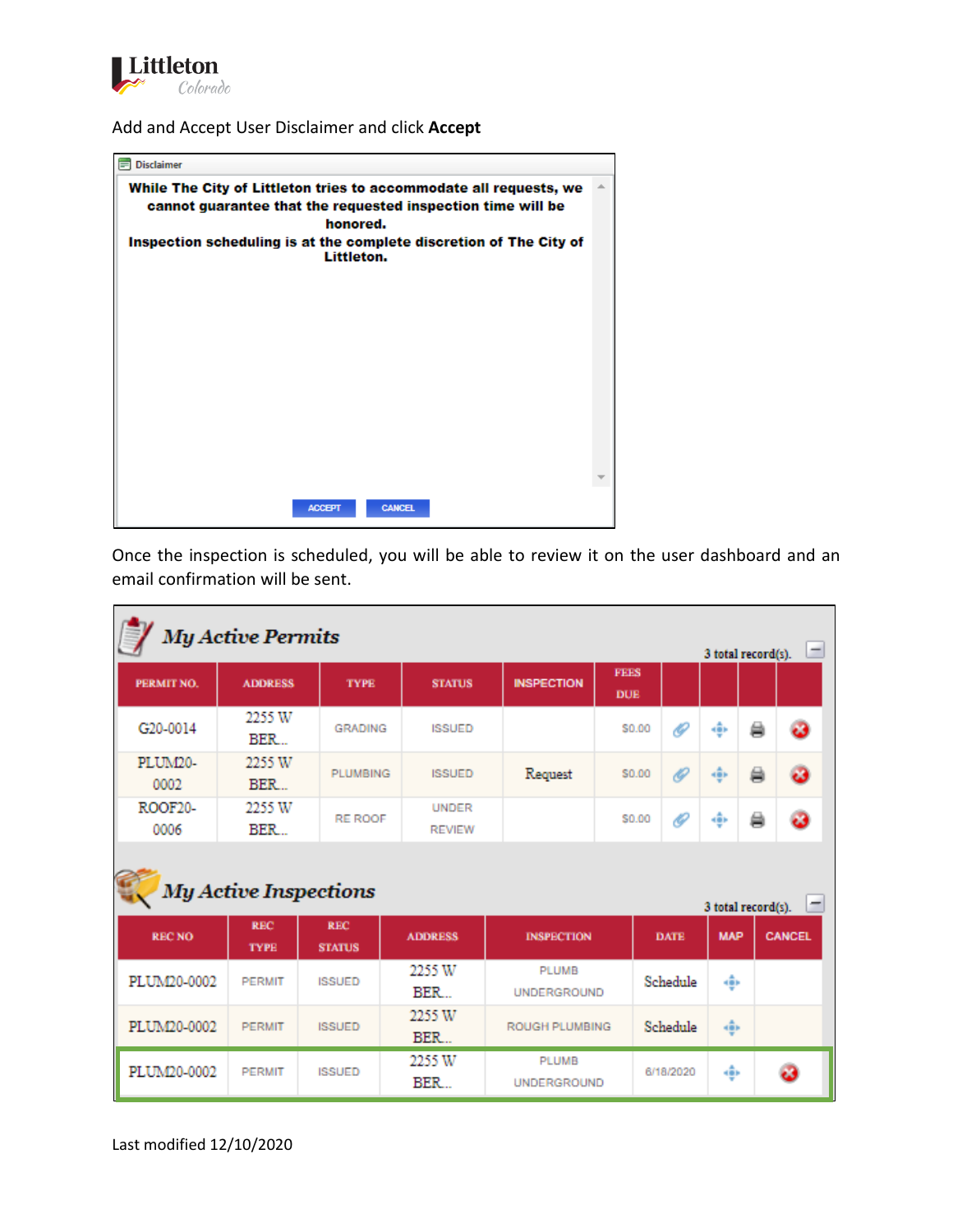

Add and Accept User Disclaimer and click **Accept**



Once the inspection is scheduled, you will be able to review it on the user dashboard and an email confirmation will be sent.

| <b>My Active Permits</b><br>$\overline{ }$<br>3 total record(s). |                           |                             |                               |                             |                                   |           |            |   |               |  |
|------------------------------------------------------------------|---------------------------|-----------------------------|-------------------------------|-----------------------------|-----------------------------------|-----------|------------|---|---------------|--|
| PERMIT NO.                                                       | <b>ADDRESS</b>            | <b>TYPE</b>                 | <b>STATUS</b>                 | <b>INSPECTION</b>           | <b>FFFS</b><br><b>DUE</b>         |           |            |   |               |  |
| G20-0014                                                         | 2255 W<br><b>BER</b>      | <b>GRADING</b>              | <b>ISSUED</b>                 |                             | \$0.00                            | O         | ÷          | ä | ය             |  |
| PLUM20-<br>0002                                                  | 2255 W<br>BER             | <b>PLUMBING</b>             | <b>ISSUED</b>                 | Request                     | \$0.00                            | O         | 鄉          | 曲 | æ             |  |
| ROOF20-<br>0006                                                  | 2255 W<br><b>BER</b>      | <b>RE ROOF</b>              | <b>UNDER</b><br><b>REVIEW</b> |                             | \$0.00                            | Ô         | ÷          | 員 |               |  |
| <b>My Active Inspections</b><br>3 total record(s).               |                           |                             |                               |                             |                                   |           |            |   |               |  |
| <b>RECNO</b>                                                     | <b>REC</b><br><b>TYPE</b> | <b>REC</b><br><b>STATUS</b> | <b>ADDRESS</b>                | <b>INSPECTION</b>           | <b>DATE</b>                       |           | <b>MAP</b> |   | <b>CANCEL</b> |  |
| PLUM20-0002                                                      | <b>PERMIT</b>             | <b>ISSUED</b>               | 2255 W<br><b>BER</b>          | PLUMB<br><b>UNDERGROUND</b> | Schedule                          |           | 垂          |   |               |  |
| PLUM20-0002                                                      | <b>PERMIT</b>             | <b>ISSUED</b>               | 2255W<br>BER                  |                             | Schedule<br><b>ROUGH PLUMBING</b> |           | 垂          |   |               |  |
| PLUM20-0002                                                      | <b>PERMIT</b>             | <b>ISSUED</b>               | 2255 W<br>BER                 | PLUMB<br><b>UNDERGROUND</b> |                                   | 6/18/2020 | ÷.         |   |               |  |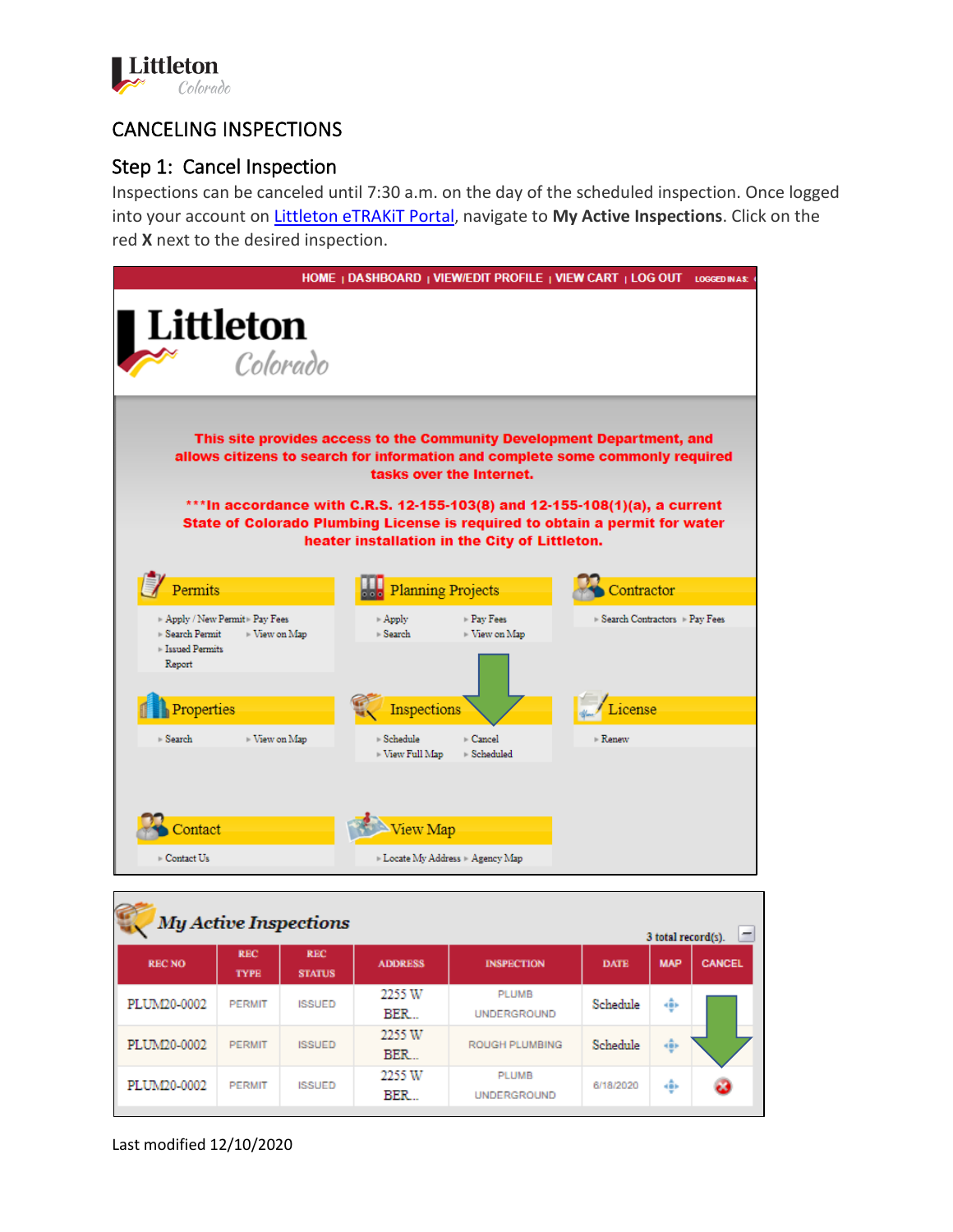

# CANCELING INSPECTIONS

# Step 1: Cancel Inspection

Inspections can be canceled until 7:30 a.m. on the day of the scheduled inspection. Once logged into your account on [Littleton eTRAKiT Portal,](https://permit9.littletongov.org/eTRAKiT) navigate to **My Active Inspections**. Click on the red **X** next to the desired inspection.



| <b>My Active Inspections</b><br>-<br>3 total record(s). |                           |                             |                |                                    |             |            |               |  |  |
|---------------------------------------------------------|---------------------------|-----------------------------|----------------|------------------------------------|-------------|------------|---------------|--|--|
| <b>RECNO</b>                                            | <b>REC</b><br><b>TYPE</b> | <b>REC</b><br><b>STATUS</b> | <b>ADDRESS</b> | <b>INSPECTION</b>                  | <b>DATE</b> | <b>MAP</b> | <b>CANCEL</b> |  |  |
| PLUM20-0002                                             | <b>PERMIT</b>             | <b>ISSUED</b>               | 2255 W<br>BER  | <b>PLUMB</b><br><b>UNDERGROUND</b> | Schedule    | ÷          |               |  |  |
| PLUM20-0002                                             | <b>PERMIT</b>             | <b>ISSUED</b>               | 2255 W<br>BER  | <b>ROUGH PLUMBING</b>              | Schedule    | 變          |               |  |  |
| PLUM20-0002                                             | <b>PERMIT</b>             | <b>ISSUED</b>               | 2255 W<br>BER  | <b>PLUMB</b><br><b>UNDERGROUND</b> | 6/18/2020   | ÷          | ම             |  |  |